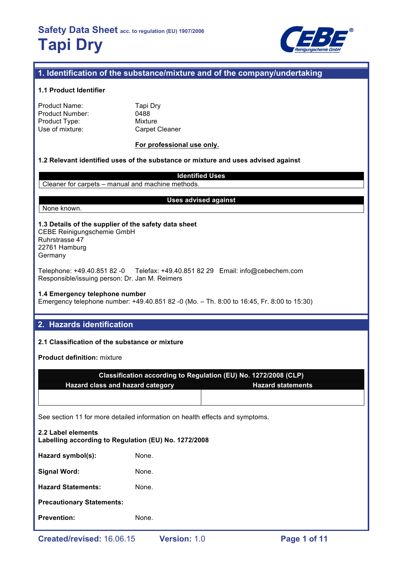

# **1. Identification of the substance/mixture and of the company/undertaking**

### **1.1 Product Identifier**

| Product Name:   |  |
|-----------------|--|
| Product Number: |  |
| Product Type:   |  |
| Use of mixture: |  |

Tapi Dry 0488 **Mixture** Carpet Cleaner

### **For professional use only.**

### **1.2 Relevant identified uses of the substance or mixture and uses advised against**

**Identified Uses** Cleaner for carpets – manual and machine methods.

### **Uses advised against**

### **1.3 Details of the supplier of the safety data sheet** CEBE Reinigungschemie GmbH Ruhrstrasse 47

22761 Hamburg Germany

None known.

Telephone: +49.40.851 82 -0 Telefax: +49.40.851 82 29 Email: info@cebechem.com Responsible/issuing person: Dr. Jan M. Reimers

# **1.4 Emergency telephone number**

Emergency telephone number: +49.40.851 82 -0 (Mo. – Th. 8:00 to 16:45, Fr. 8:00 to 15:30)

# **2. Hazards identification**

# **2.1 Classification of the substance or mixture**

**Product definition:** mixture

|                                         | Classification according to Regulation (EU) No. 1272/2008 (CLP) |
|-----------------------------------------|-----------------------------------------------------------------|
| <b>Hazard class and hazard category</b> | <b>Hazard statements</b>                                        |
|                                         |                                                                 |

See section 11 for more detailed information on health effects and symptoms.

| 2.2 Label elements<br>Labelling according to Regulation (EU) No. 1272/2008 |       |  |  |
|----------------------------------------------------------------------------|-------|--|--|
| Hazard symbol(s):                                                          | None. |  |  |
| <b>Signal Word:</b>                                                        | None. |  |  |
| <b>Hazard Statements:</b>                                                  | None. |  |  |
| <b>Precautionary Statements:</b>                                           |       |  |  |
| <b>Prevention:</b>                                                         | None. |  |  |
|                                                                            |       |  |  |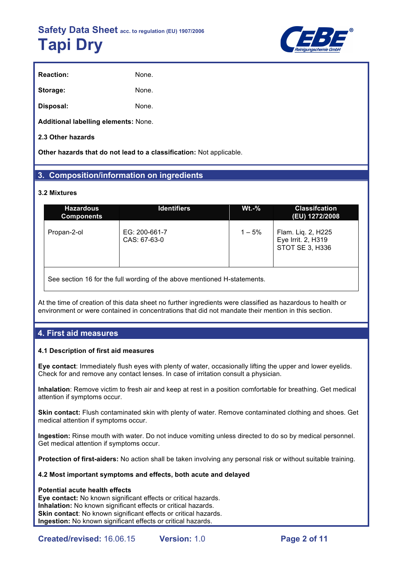

| <b>Reaction:</b> | None. |
|------------------|-------|
| Storage:         | None. |
| Disposal:        | None. |

**Additional labelling elements:** None.

# **2.3 Other hazards**

**Other hazards that do not lead to a classification:** Not applicable.

# **3. Composition/information on ingredients**

# **3.2 Mixtures**

| <b>Hazardous</b><br><b>Components</b> | <b>Identifiers</b>            | $Wt.-%$   | <b>Classification</b><br>(EU) 1272/2008                     |
|---------------------------------------|-------------------------------|-----------|-------------------------------------------------------------|
| Propan-2-ol                           | EG: 200-661-7<br>CAS: 67-63-0 | $1 - 5\%$ | Flam. Liq. 2, H225<br>Eye Irrit. 2, H319<br>STOT SE 3, H336 |

See section 16 for the full wording of the above mentioned H-statements.

At the time of creation of this data sheet no further ingredients were classified as hazardous to health or environment or were contained in concentrations that did not mandate their mention in this section.

# **4. First aid measures**

# **4.1 Description of first aid measures**

**Eye contact**: Immediately flush eyes with plenty of water, occasionally lifting the upper and lower eyelids. Check for and remove any contact lenses. In case of irritation consult a physician.

**Inhalation**: Remove victim to fresh air and keep at rest in a position comfortable for breathing. Get medical attention if symptoms occur.

**Skin contact:** Flush contaminated skin with plenty of water. Remove contaminated clothing and shoes. Get medical attention if symptoms occur.

**Ingestion:** Rinse mouth with water. Do not induce vomiting unless directed to do so by medical personnel. Get medical attention if symptoms occur.

**Protection of first-aiders:** No action shall be taken involving any personal risk or without suitable training.

# **4.2 Most important symptoms and effects, both acute and delayed**

# **Potential acute health effects**

**Eye contact:** No known significant effects or critical hazards. **Inhalation:** No known significant effects or critical hazards. **Skin contact:** No known significant effects or critical hazards. **Ingestion:** No known significant effects or critical hazards.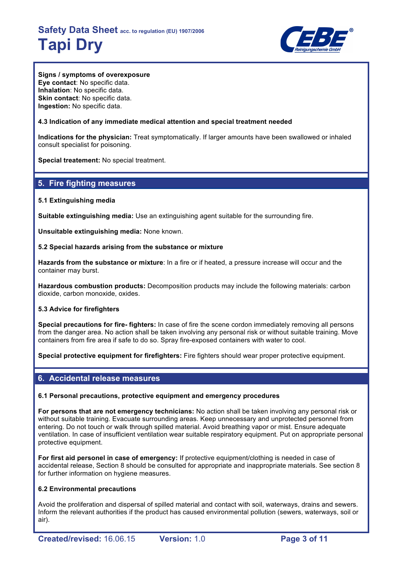

**Signs / symptoms of overexposure Eye contact**: No specific data. **Inhalation**: No specific data. **Skin contact**: No specific data. **Ingestion:** No specific data.

# **4.3 Indication of any immediate medical attention and special treatment needed**

**Indications for the physician:** Treat symptomatically. If larger amounts have been swallowed or inhaled consult specialist for poisoning.

**Special treatement:** No special treatment.

# **5. Fire fighting measures**

# **5.1 Extinguishing media**

**Suitable extinguishing media:** Use an extinguishing agent suitable for the surrounding fire.

**Unsuitable extinguishing media:** None known.

# **5.2 Special hazards arising from the substance or mixture**

**Hazards from the substance or mixture**: In a fire or if heated, a pressure increase will occur and the container may burst.

**Hazardous combustion products:** Decomposition products may include the following materials: carbon dioxide, carbon monoxide, oxides.

# **5.3 Advice for firefighters**

**Special precautions for fire- fighters:** In case of fire the scene cordon immediately removing all persons from the danger area. No action shall be taken involving any personal risk or without suitable training. Move containers from fire area if safe to do so. Spray fire-exposed containers with water to cool.

**Special protective equipment for firefighters:** Fire fighters should wear proper protective equipment.

# **6. Accidental release measures**

# **6.1 Personal precautions, protective equipment and emergency procedures**

**For persons that are not emergency technicians:** No action shall be taken involving any personal risk or without suitable training. Evacuate surrounding areas. Keep unnecessary and unprotected personnel from entering. Do not touch or walk through spilled material. Avoid breathing vapor or mist. Ensure adequate ventilation. In case of insufficient ventilation wear suitable respiratory equipment. Put on appropriate personal protective equipment.

**For first aid personel in case of emergency:** If protective equipment/clothing is needed in case of accidental release, Section 8 should be consulted for appropriate and inappropriate materials. See section 8 for further information on hygiene measures.

# **6.2 Environmental precautions**

Avoid the proliferation and dispersal of spilled material and contact with soil, waterways, drains and sewers. Inform the relevant authorities if the product has caused environmental pollution (sewers, waterways, soil or air).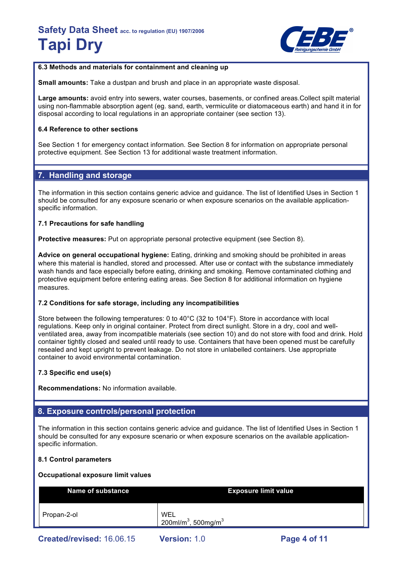

# **6.3 Methods and materials for containment and cleaning up**

**Small amounts:** Take a dustpan and brush and place in an appropriate waste disposal.

**Large amounts:** avoid entry into sewers, water courses, basements, or confined areas.Collect spilt material using non-flammable absorption agent (eg. sand, earth, vermiculite or diatomaceous earth) and hand it in for disposal according to local regulations in an appropriate container (see section 13).

# **6.4 Reference to other sections**

See Section 1 for emergency contact information. See Section 8 for information on appropriate personal protective equipment. See Section 13 for additional waste treatment information.

# **7. Handling and storage**

The information in this section contains generic advice and guidance. The list of Identified Uses in Section 1 should be consulted for any exposure scenario or when exposure scenarios on the available applicationspecific information.

# **7.1 Precautions for safe handling**

**Protective measures:** Put on appropriate personal protective equipment (see Section 8).

**Advice on general occupational hygiene:** Eating, drinking and smoking should be prohibited in areas where this material is handled, stored and processed. After use or contact with the substance immediately wash hands and face especially before eating, drinking and smoking. Remove contaminated clothing and protective equipment before entering eating areas. See Section 8 for additional information on hygiene measures.

# **7.2 Conditions for safe storage, including any incompatibilities**

Store between the following temperatures: 0 to 40°C (32 to 104°F). Store in accordance with local regulations. Keep only in original container. Protect from direct sunlight. Store in a dry, cool and wellventilated area, away from incompatible materials (see section 10) and do not store with food and drink. Hold container tightly closed and sealed until ready to use. Containers that have been opened must be carefully resealed and kept upright to prevent leakage. Do not store in unlabelled containers. Use appropriate container to avoid environmental contamination.

# **7.3 Specific end use(s)**

**Recommendations:** No information available.

# **8. Exposure controls/personal protection**

The information in this section contains generic advice and guidance. The list of Identified Uses in Section 1 should be consulted for any exposure scenario or when exposure scenarios on the available applicationspecific information.

# **8.1 Control parameters**

#### **Occupational exposure limit values**

| <b>Name of substance</b> | <b>Exposure limit value</b>                        |
|--------------------------|----------------------------------------------------|
| Propan-2-ol              | WEL<br>200ml/m <sup>3</sup> , 500mg/m <sup>3</sup> |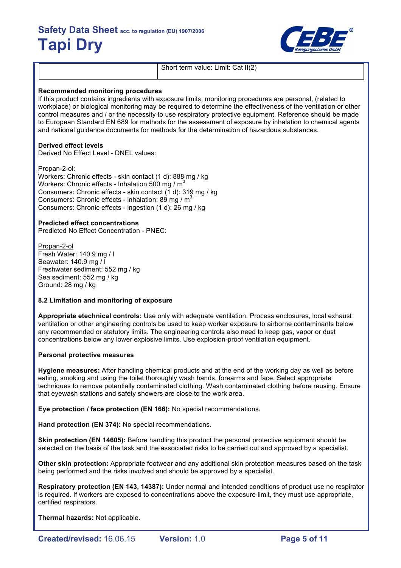

Short term value: Limit: Cat II(2)

### **Recommended monitoring procedures**

If this product contains ingredients with exposure limits, monitoring procedures are personal, (related to workplace) or biological monitoring may be required to determine the effectiveness of the ventilation or other control measures and / or the necessity to use respiratory protective equipment. Reference should be made to European Standard EN 689 for methods for the assessment of exposure by inhalation to chemical agents and national guidance documents for methods for the determination of hazardous substances.

### **Derived effect levels**

Derived No Effect Level - DNEL values:

Propan-2-ol:

Workers: Chronic effects - skin contact (1 d): 888 mg / kg Workers: Chronic effects - Inhalation 500 mg /  $m<sup>3</sup>$ Consumers: Chronic effects - skin contact (1 d): 319 mg / kg Consumers: Chronic effects - inhalation: 89 mg /  $m<sup>3</sup>$ Consumers: Chronic effects - ingestion (1 d): 26 mg / kg

### **Predicted effect concentrations**

Predicted No Effect Concentration - PNEC:

Propan-2-ol Fresh Water: 140.9 mg / l Seawater: 140.9 mg / l Freshwater sediment: 552 mg / kg Sea sediment: 552 mg / kg Ground: 28 mg / kg

# **8.2 Limitation and monitoring of exposure**

**Appropriate etechnical controls:** Use only with adequate ventilation. Process enclosures, local exhaust ventilation or other engineering controls be used to keep worker exposure to airborne contaminants below any recommended or statutory limits. The engineering controls also need to keep gas, vapor or dust concentrations below any lower explosive limits. Use explosion-proof ventilation equipment.

#### **Personal protective measures**

**Hygiene measures:** After handling chemical products and at the end of the working day as well as before eating, smoking and using the toilet thoroughly wash hands, forearms and face. Select appropriate techniques to remove potentially contaminated clothing. Wash contaminated clothing before reusing. Ensure that eyewash stations and safety showers are close to the work area.

**Eye protection / face protection (EN 166):** No special recommendations.

**Hand protection (EN 374):** No special recommendations.

**Skin protection (EN 14605):** Before handling this product the personal protective equipment should be selected on the basis of the task and the associated risks to be carried out and approved by a specialist.

**Other skin protection:** Appropriate footwear and any additional skin protection measures based on the task being performed and the risks involved and should be approved by a specialist.

**Respiratory protection (EN 143, 14387):** Under normal and intended conditions of product use no respirator is required. If workers are exposed to concentrations above the exposure limit, they must use appropriate, certified respirators.

**Thermal hazards:** Not applicable.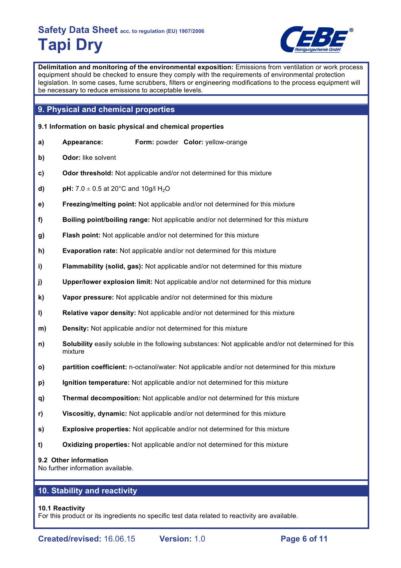

**Delimitation and monitoring of the environmental exposition:** Emissions from ventilation or work process equipment should be checked to ensure they comply with the requirements of environmental protection legislation. In some cases, fume scrubbers, filters or engineering modifications to the process equipment will be necessary to reduce emissions to acceptable levels.

# **9. Physical and chemical properties**

- **9.1 Information on basic physical and chemical properties**
- **a) Appearance: Form:** powder **Color:** yellow-orange
- **b) Odor:** like solvent
- **c) Odor threshold:** Not applicable and/or not determined for this mixture
- **d) pH:**  $7.0 \pm 0.5$  at 20 $^{\circ}$ C and 10g/l H<sub>2</sub>O
- **e) Freezing/melting point:** Not applicable and/or not determined for this mixture
- **f) Boiling point/boiling range:** Not applicable and/or not determined for this mixture
- **g) Flash point:** Not applicable and/or not determined for this mixture
- **h) Evaporation rate:** Not applicable and/or not determined for this mixture
- **i) Flammability (solid, gas):** Not applicable and/or not determined for this mixture
- **j) Upper/lower explosion limit:** Not applicable and/or not determined for this mixture
- **k) Vapor pressure:** Not applicable and/or not determined for this mixture
- **l) Relative vapor density:** Not applicable and/or not determined for this mixture
- **m) Density:** Not applicable and/or not determined for this mixture
- **n) Solubility** easily soluble in the following substances: Not applicable and/or not determined for this mixture
- **o) partition coefficient:** n-octanol/water: Not applicable and/or not determined for this mixture
- **p) Ignition temperature:** Not applicable and/or not determined for this mixture
- **q) Thermal decomposition:** Not applicable and/or not determined for this mixture
- **r) Viscositiy, dynamic:** Not applicable and/or not determined for this mixture
- **s) Explosive properties:** Not applicable and/or not determined for this mixture
- **t) Oxidizing properties:** Not applicable and/or not determined for this mixture

# **9.2 Other information**

No further information available.

# **10. Stability and reactivity**

# **10.1 Reactivity**

For this product or its ingredients no specific test data related to reactivity are available.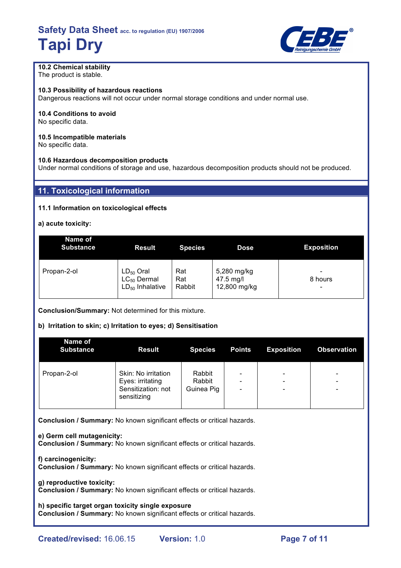

# **10.2 Chemical stability**

The product is stable.

**10.3 Possibility of hazardous reactions**

Dangerous reactions will not occur under normal storage conditions and under normal use.

# **10.4 Conditions to avoid**

No specific data.

### **10.5 Incompatible materials**

No specific data.

# **10.6 Hazardous decomposition products**

Under normal conditions of storage and use, hazardous decomposition products should not be produced.

# **11. Toxicological information**

# **11.1 Information on toxicological effects**

**a) acute toxicity:**

| Name of<br><b>Substance</b> | <b>Result</b>                                              | <b>Species</b>       | <b>Dose</b>                              | <b>Exposition</b> |
|-----------------------------|------------------------------------------------------------|----------------------|------------------------------------------|-------------------|
| Propan-2-ol                 | $LD_{50}$ Oral<br>$LC_{50}$ Dermal<br>$LD_{50}$ Inhalative | Rat<br>Rat<br>Rabbit | 5,280 mg/kg<br>47.5 mg/l<br>12,800 mg/kg | 8 hours<br>-      |

**Conclusion/Summary:** Not determined for this mixture.

# **b) Irritation to skin; c) Irritation to eyes; d) Sensitisation**

| Name of<br><b>Substance</b> | <b>Result</b>                                                                | <b>Species</b>                 | <b>Points</b>                                                                        | <b>Exposition</b>                                         | <b>Observation</b>                                        |
|-----------------------------|------------------------------------------------------------------------------|--------------------------------|--------------------------------------------------------------------------------------|-----------------------------------------------------------|-----------------------------------------------------------|
| Propan-2-ol                 | Skin: No irritation<br>Eyes: irritating<br>Sensitization: not<br>sensitizing | Rabbit<br>Rabbit<br>Guinea Pig | $\overline{\phantom{0}}$<br>$\overline{\phantom{0}}$<br>$\qquad \qquad \blacksquare$ | -<br>$\overline{\phantom{a}}$<br>$\overline{\phantom{a}}$ | -<br>$\overline{\phantom{0}}$<br>$\overline{\phantom{0}}$ |

**Conclusion / Summary:** No known significant effects or critical hazards.

**e) Germ cell mutagenicity: Conclusion / Summary:** No known significant effects or critical hazards.

**f) carcinogenicity: Conclusion / Summary:** No known significant effects or critical hazards.

**g) reproductive toxicity:**

**Conclusion / Summary:** No known significant effects or critical hazards.

**h) specific target organ toxicity single exposure Conclusion / Summary:** No known significant effects or critical hazards.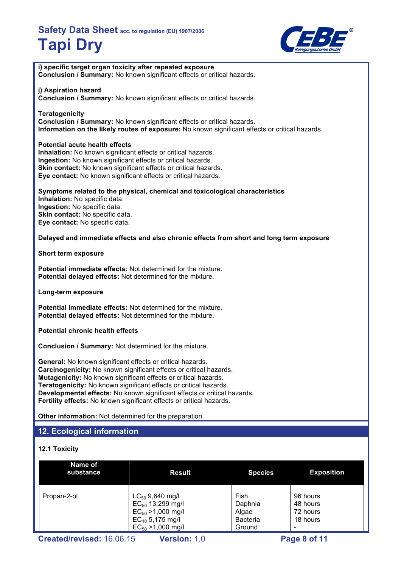

| i) specific target organ toxicity after repeated exposure                                                                                                       | Conclusion / Summary: No known significant effects or critical hazards.                                                                                                                                                                                                                                                                                        |                                             |                                              |
|-----------------------------------------------------------------------------------------------------------------------------------------------------------------|----------------------------------------------------------------------------------------------------------------------------------------------------------------------------------------------------------------------------------------------------------------------------------------------------------------------------------------------------------------|---------------------------------------------|----------------------------------------------|
| j) Aspiration hazard                                                                                                                                            | Conclusion / Summary: No known significant effects or critical hazards.                                                                                                                                                                                                                                                                                        |                                             |                                              |
| <b>Teratogenicity</b>                                                                                                                                           | Conclusion / Summary: No known significant effects or critical hazards.<br>Information on the likely routes of exposure: No known significant effects or critical hazards.                                                                                                                                                                                     |                                             |                                              |
| Potential acute health effects<br>Inhalation: No known significant effects or critical hazards.<br>Ingestion: No known significant effects or critical hazards. | Skin contact: No known significant effects or critical hazards.<br>Eye contact: No known significant effects or critical hazards.                                                                                                                                                                                                                              |                                             |                                              |
| Inhalation: No specific data.<br>Ingestion: No specific data.<br>Skin contact: No specific data.<br>Eye contact: No specific data.                              | Symptoms related to the physical, chemical and toxicological characteristics                                                                                                                                                                                                                                                                                   |                                             |                                              |
|                                                                                                                                                                 | Delayed and immediate effects and also chronic effects from short and long term exposure                                                                                                                                                                                                                                                                       |                                             |                                              |
| <b>Short term exposure</b>                                                                                                                                      |                                                                                                                                                                                                                                                                                                                                                                |                                             |                                              |
| Potential delayed effects: Not determined for the mixture.                                                                                                      | Potential immediate effects: Not determined for the mixture.                                                                                                                                                                                                                                                                                                   |                                             |                                              |
| Long-term exposure                                                                                                                                              |                                                                                                                                                                                                                                                                                                                                                                |                                             |                                              |
| Potential delayed effects: Not determined for the mixture.                                                                                                      | <b>Potential immediate effects:</b> Not determined for the mixture.                                                                                                                                                                                                                                                                                            |                                             |                                              |
| <b>Potential chronic health effects</b>                                                                                                                         |                                                                                                                                                                                                                                                                                                                                                                |                                             |                                              |
| <b>Conclusion / Summary: Not determined for the mixture.</b>                                                                                                    |                                                                                                                                                                                                                                                                                                                                                                |                                             |                                              |
| <b>General:</b> No known significant effects or critical hazards.                                                                                               | Carcinogenicity: No known significant effects or critical hazards.<br>Mutagenicity: No known significant effects or critical hazards.<br>Teratogenicity: No known significant effects or critical hazards.<br>Developmental effects: No known significant effects or critical hazards.<br>Fertility effects: No known significant effects or critical hazards. |                                             |                                              |
| Other information: Not determined for the preparation.                                                                                                          |                                                                                                                                                                                                                                                                                                                                                                |                                             |                                              |
| 12. Ecological information                                                                                                                                      |                                                                                                                                                                                                                                                                                                                                                                |                                             |                                              |
| <b>12.1 Toxicity</b>                                                                                                                                            |                                                                                                                                                                                                                                                                                                                                                                |                                             |                                              |
| Name of<br>substance                                                                                                                                            | <b>Result</b>                                                                                                                                                                                                                                                                                                                                                  | <b>Species</b>                              | <b>Expos</b>                                 |
| Propan-2-ol                                                                                                                                                     | $LC_{50}$ 9,640 mg/l<br>$EC_{50}$ 13,299 mg/l<br>$EC_{50} > 1,000$ mg/l<br>$EC_{10}$ 5,175 mg/l                                                                                                                                                                                                                                                                | Fish<br>Daphnia<br>Algae<br><b>Bacteria</b> | 96 hours<br>48 hours<br>72 hours<br>18 hours |

Ground

 $EC_{50} > 1,000$  mg/l

-

**Exposition**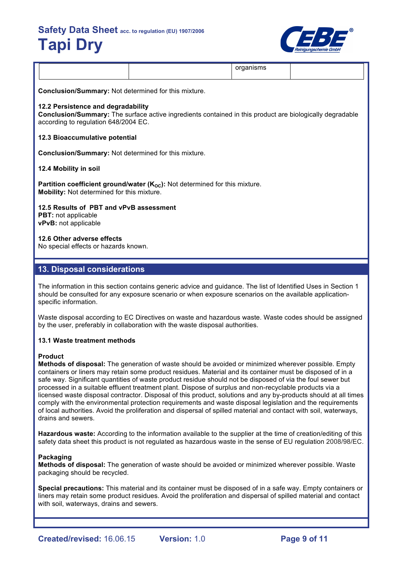

|--|

**Conclusion/Summary:** Not determined for this mixture.

### **12.2 Persistence and degradability**

**Conclusion/Summary:** The surface active ingredients contained in this product are biologically degradable according to regulation 648/2004 EC.

### **12.3 Bioaccumulative potential**

**Conclusion/Summary:** Not determined for this mixture.

#### **12.4 Mobility in soil**

**Partition coefficient ground/water (K<sub>OC</sub>):** Not determined for this mixture. **Mobility:** Not determined for this mixture.

**12.5 Results of PBT and vPvB assessment**

**PBT:** not applicable **vPvB:** not applicable

# **12.6 Other adverse effects**

No special effects or hazards known.

# **13. Disposal considerations**

The information in this section contains generic advice and guidance. The list of Identified Uses in Section 1 should be consulted for any exposure scenario or when exposure scenarios on the available applicationspecific information.

Waste disposal according to EC Directives on waste and hazardous waste. Waste codes should be assigned by the user, preferably in collaboration with the waste disposal authorities.

# **13.1 Waste treatment methods**

# **Product**

**Methods of disposal:** The generation of waste should be avoided or minimized wherever possible. Empty containers or liners may retain some product residues. Material and its container must be disposed of in a safe way. Significant quantities of waste product residue should not be disposed of via the foul sewer but processed in a suitable effluent treatment plant. Dispose of surplus and non-recyclable products via a licensed waste disposal contractor. Disposal of this product, solutions and any by-products should at all times comply with the environmental protection requirements and waste disposal legislation and the requirements of local authorities. Avoid the proliferation and dispersal of spilled material and contact with soil, waterways, drains and sewers.

**Hazardous waste:** According to the information available to the supplier at the time of creation/editing of this safety data sheet this product is not regulated as hazardous waste in the sense of EU regulation 2008/98/EC.

#### **Packaging**

**Methods of disposal:** The generation of waste should be avoided or minimized wherever possible. Waste packaging should be recycled.

**Special precautions:** This material and its container must be disposed of in a safe way. Empty containers or liners may retain some product residues. Avoid the proliferation and dispersal of spilled material and contact with soil, waterways, drains and sewers.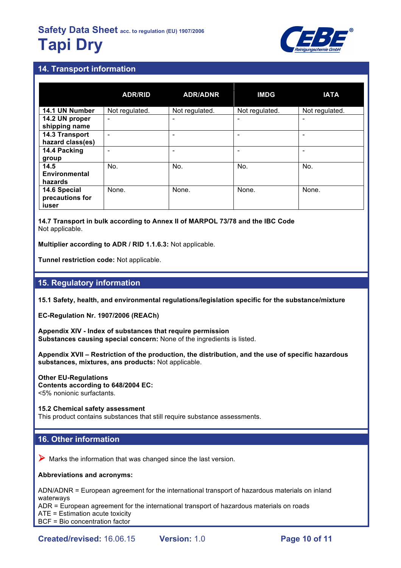

# **14. Transport information**

|                                          | <b>ADR/RID</b> | <b>ADR/ADNR</b> | <b>IMDG</b>    | <b>IATA</b>              |
|------------------------------------------|----------------|-----------------|----------------|--------------------------|
| 14.1 UN Number                           | Not regulated. | Not regulated.  | Not regulated. | Not regulated.           |
| 14.2 UN proper<br>shipping name          | ٠              |                 |                | $\overline{\phantom{a}}$ |
| 14.3 Transport<br>hazard class(es)       | -              |                 |                | $\overline{\phantom{0}}$ |
| 14.4 Packing<br>group                    |                |                 |                | ۰                        |
| 14.5<br>Environmental<br>hazards         | No.            | No.             | No.            | No.                      |
| 14.6 Special<br>precautions for<br>iuser | None.          | None.           | None.          | None.                    |

**14.7 Transport in bulk according to Annex II of MARPOL 73/78 and the IBC Code** Not applicable.

**Multiplier according to ADR / RID 1.1.6.3:** Not applicable.

**Tunnel restriction code:** Not applicable.

# **15. Regulatory information**

**15.1 Safety, health, and environmental regulations/legislation specific for the substance/mixture**

**EC-Regulation Nr. 1907/2006 (REACh)**

**Appendix XIV - Index of substances that require permission Substances causing special concern:** None of the ingredients is listed.

**Appendix XVII – Restriction of the production, the distribution, and the use of specific hazardous substances, mixtures, ans products:** Not applicable.

**Other EU-Regulations Contents according to 648/2004 EC:** <5% nonionic surfactants.

**15.2 Chemical safety assessment** This product contains substances that still require substance assessments.

# **16. Other information**

 $\triangleright$  Marks the information that was changed since the last version.

# **Abbreviations and acronyms:**

ADN/ADNR = European agreement for the international transport of hazardous materials on inland waterways

ADR = European agreement for the international transport of hazardous materials on roads

ATE = Estimation acute toxicity

BCF = Bio concentration factor